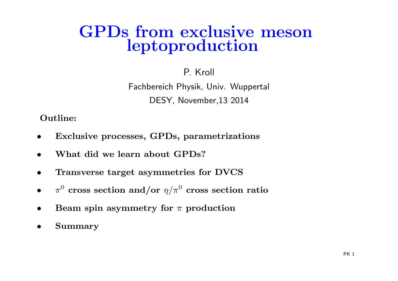### GPDs from exclusive mesonleptoproduction

#### P. Kroll

Fachbereich Physik, Univ. Wuppertal DESY, November,13 <sup>2014</sup>

Outline:

- •Exclusive processes, GPDs, parametrizations
- •What did we learn about GPDs?
- •Transverse target asymmetries for DVCS
- • $\pi^0$  cross section and/or  $\eta/\pi^0$  cross section ratio
- •• Beam spin asymmetry for  $\pi$  production
- •Summary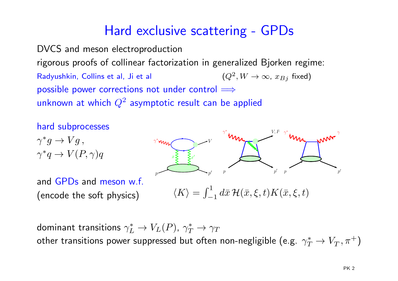#### Hard exclusive scattering - GPDs

DVCS and meson electroproduction rigorous proofs of collinear factorization in generalized Bjorken regime: Radyushkin, Collins et al, Ji et al possible power corrections not under control  $\Longrightarrow$  $^{2},W\rightarrow\infty$ ,  $x_{Bj}$  fixed) unknown at which  $Q^2$  asymptotic result can be applied



dominant transitions  $\gamma_L^*$  $\alpha$  cunneccod but  $_L^* \rightarrow V_L(P)$ ,  $\gamma_T^*$  $\stackrel{\scriptscriptstyle \scriptscriptstyle \tau}{T} \rightarrow \gamma_T$ other transitions power suppressed but often non-negligible (e.g.  $\gamma^*_T$  $T^* \to V_T^-, \pi^+)$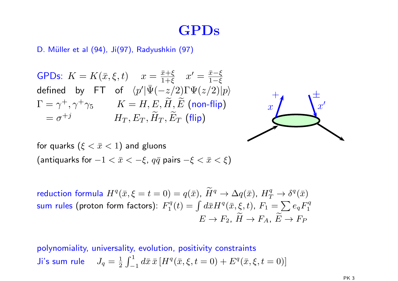#### GPDs

D. Müller et al (94), Ji(97), Radyushkin (97)

GPDs:  $K = K(\bar{x}, \xi, t)$   $x = \frac{\bar{x} + \xi}{1 + \xi}$   $x' = \frac{\bar{x} - \xi}{1 - \xi}$ defined by FT of  $\langle p'|\bar{\Psi}(-z/2)\Gamma\Psi(z/2)|p\rangle$  $\Gamma = \gamma^+, \gamma^+ \gamma_5 \qquad \ \ K = H, E, \widetilde{H}, \widetilde{E} \ \textbf{(non-flip)}$ = $=\sigma^{+j}$   $H_T, E_T, \widetilde{H}$  $T, \widetilde{E}$  $\, T \,$  $T$  (flip)



for quarks  $(\xi < \bar{x} < 1)$  and gluons (antiquarks for  $-1 < \bar{x} < -\xi$ ,  $q\bar{q}$  pairs  $-\xi < \bar{x} < \xi$ )

reduction formula  $H^q(\bar{x},\xi=t=0)=q(\bar{x})$ ,  $\widetilde{H}^q\to \Delta q(\bar{x})$ ,  $H^q_T\to \delta^q(\bar{x})$ sum rules (proton form factors):  $F_1^q(t) = \int d\bar{x} H^q(\bar{x}, \xi, t)$ ,  $F_1 = \sum\limits_{\sim} e_q F_1^q$  $E \to F_2$ ,  $\widetilde{H}$  $\rightarrow$   $F_A$ ,  $\widetilde{E}$  $\rightarrow F_P$ 

polynomiality, universality, evolution, positivity constraints Ji's sum rule  $J_q = \frac{1}{2} \int_{-1}^{1} d\bar{x}\, \bar{x}\, [H^q(\bar{x}, \xi, t = 0) + E^q(\bar{x}, \xi, t = 0)]$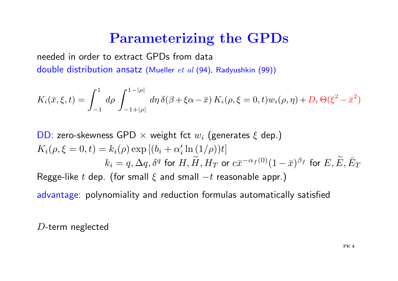#### Parameterizing the GPDs

needed in order to extract GPDs from data double distribution ansatz (Mueller et al (94), Radyushkin (99))

$$
K_i(\bar{x}, \xi, t) = \int_{-1}^1 d\rho \int_{-1+|\rho|}^{1-|\rho|} d\eta \, \delta(\beta + \xi \alpha - \bar{x}) \, K_i(\rho, \xi = 0, t) w_i(\rho, \eta) + D_i \, \Theta(\xi^2 - \bar{x}^2)
$$

DD: zero-skewness GPD  $\times$  weight fct  $w_i$  (generates  $\xi$  dep.)<br>--  $\angle$  $K_i(\rho,\xi=0,t)=k_i(\rho)\exp{[(b_i+\alpha'_i\ln{(1/\rho)})t]}$  $k_i = q, \Delta q, \delta^q$  for  $H, \widetilde{H}, H$  $T$  or  $c\bar{x}^{-\alpha_f(0)}(1)$  $-\,\bar{x})^{\beta_f}$  for  $E,\widetilde{E},\bar{E}_T$ Regge-like  $t$  dep. (for small  $\xi$  and small  $-t$  reasonable appr  $-t$  reasonable appr.)

advantage: polynomiality and reduction formulas automatically satisfied

<sup>D</sup>-term neglected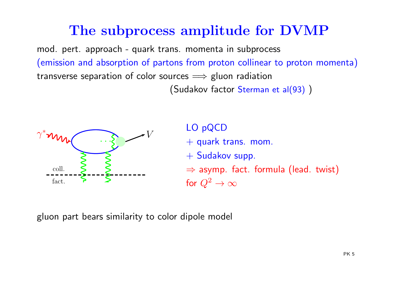#### The subprocess amplitude for DVMP

mod. pert. approach - quark trans. momenta in subprocess (emission and absorption of partons from proton collinear to proton momenta) transverse separation of color sources ⇒ gluon radiation<br>Cudales: factor Stawsen (Sudakov factor Sterman et al(93) )



LO pQCD $+$  quark trans. mom. <sup>+</sup> Sudakov supp.  $\Rightarrow$  asymp. fact. formula (lead. twist)<br>for  $\Omega^2$  in the set for  $Q^2 \to \infty$ 

<sup>g</sup>luon part bears similarity to color dipole model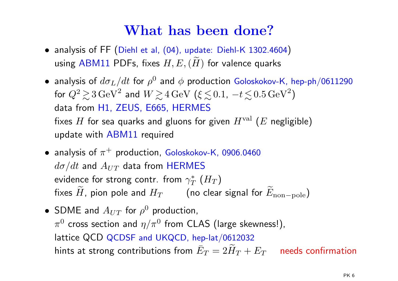#### What has been done?

- $\bullet$  analysis of FF (Diehl et al, (04), update: Diehl-K 1302.4604) using ABM11 PDFs, fixes  $H,E,(\widetilde H)$  for valence quarks
- $\bullet$  analysis of  $d\sigma_L/dt$  for  $\rho^0$  and  $\phi$  production Goloskokov-K, hep-ph/0611290 for  $Q^2 \gtrsim 3 \, \text{GeV}^2$  and  $W \gtrsim 4$ a trom H1 /FIIS F665 HFRMF  $^2$   $>$ ∼ $\gtrsim$  3 GeV<sup>2</sup> and  $W$   $\gtrsim$   $\qquad$ ∼ $\gtrsim$  4 GeV ( $\xi$   $\lesssim$  $\lesssim\!0.1,\ -t\lesssim$  $\lesssim\!0.5\,{\rm GeV}^2$  $^{2})$ data from H1, ZEUS, E665, HERMES<br>c fixes  $H$  for sea quarks and gluons for given  $H^{\mathrm{val}}\left(E\right)$  negligible) update with <mark>ABM11</mark> required
- $\bullet$  analysis of  $\pi^+$  production, Goloskokov-K, 0906.0460  $d\sigma/dt$  and  $A_{UT}$  data from <code>HERMES</code> evidence for strong contr. from  $\gamma^*_T$ fixes  $\widetilde{H}$ , pion pole and  $H_T$  (no clear signal for  $\widetilde{E}_{\text{non-pole}})$  $_{T}^{\ast}\left( H_{T}\right)$
- SDME and  $A_{UT}$  for  $\rho^0$  production,  $\pi^0$  cross section and  $\eta/\pi^0$  from CLAS (large skewness!), lattice QCD QCDSF and UKQCD, hep-lat/0612032 hints at strong contributions from  $\bar{E}_T=2\widetilde{H}_T+E_T$  needs confirmation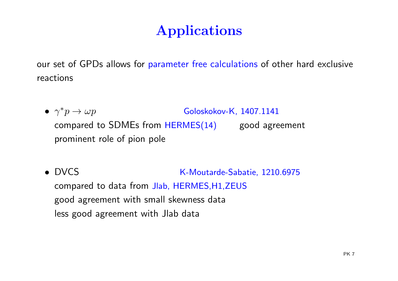## Applications

our set of GPDs allows for parameter free calculations of other hard exclusive reactions

- $\bullet \ \ \gamma^* p \to$ Goloskokov-K, 1407.1141 compared to SDMEs from HERMES(14) good agreement prominent role of pion pole
- DVCS K-Moutarde-Sabatie, 1210.6975 compared to data from Jlab, HERMES,H1,ZEUS good agreement with small skewness data less good agreement with Jlab data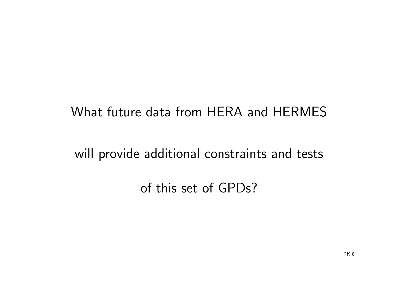#### What future data from HERA and HERMES

will provide additional constraints and tests

of this set of GPDs?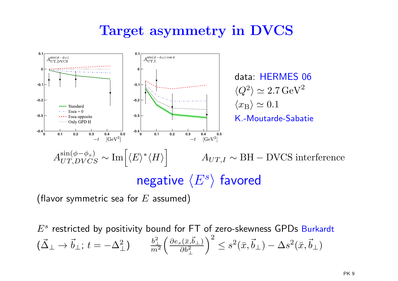#### Target asymmetry in DVCS



(flavor symmetric sea for  $E$  assumed)

 $E^s$  restricted by positivity bound for FT of zero-skewness GPDs Burkardt (  $\vec{\Delta}_\perp \rightarrow \vec{b}_\perp;\, t$  $=-\Delta^2$  $_{\perp}^2)$ b2 ⊥ $m^2$  ∂e s(¯x, ~b $\frac{(\bar{x},b_\perp)}{\partial b^2}$  $\left(\begin{smallmatrix} \vec{b}_\perp \ \frac{2}{2} \end{smallmatrix}\right)^2$  $\bar{z} \leq s^2(\bar{x}, \vec{b}_\perp)$  $-\,\Delta s^2(\bar{x},\vec{b}_\perp)$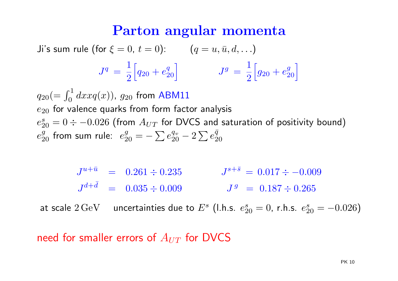#### Parton angular momenta

Ji's sum rule (for  $\xi = 0, t = 0$ ):  $(q = u, \bar{u}, d, \ldots)$ 

$$
J^{q} = \frac{1}{2} \Big[ q_{20} + e_{20}^{q} \Big] \qquad J^{g} = \frac{1}{2} \Big[ g_{20} + e_{20}^{g} \Big]
$$

 $q_{20} (= \int_0^1$  $e_{\rm 20}$  for valence quarks from form factor analysis  $\int_0^1 dx x q(x)$ ),  $g_{20}$  from ABM11  $e_{\mathsf{\Omega}}^s$  $e_{20}^g$  from sum rule:  $e_{20}^g = -$  20 $\sigma_0 = 0 \div -0.026$  (from  $A_{UT}$  for DVCS and saturation of positivity bound)  $\sum e^{q_v}_{20}$  $\frac{q_v}{20}-2\sum{e^{\bar q}_{20}}$ 

> $J^{u+\bar{u}} = 0.261 \div 0.235$   $J^{s+\bar{s}} = 0.017 \div -0.009$   $J^d$  $d+\bar{d}$  = 0.035  $\div$  0.009  $J^g$  = 0.187  $\div$  0.265

at scale  $2\,{\rm GeV}$   $\;$  uncertainties due to  $E^s$  (l.h.s.  $e^s_2$  $s_{20}^s = 0$ , r.h.s.  $e_2^s$  $\frac{s}{20}=-0.026)$ 

need for smaller errors of  $A_{UT}$  for DVCS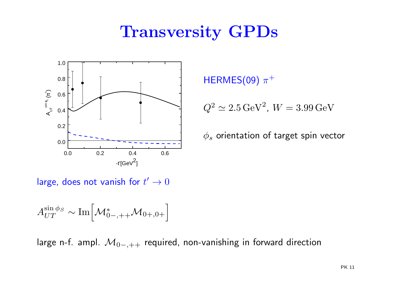## Transversity GPDs



 $\mathsf{HERMES}(09)$   $\pi^+$ 

$$
Q^2 \simeq 2.5 \,\mathrm{GeV}^2, W = 3.99 \,\mathrm{GeV}
$$

 $\phi_s$  orientation of target spin vector

large, does not vanish for  $t'\rightarrow 0$ 

$$
A_{UT}^{\sin\phi_S} \sim \text{Im}\Big[\mathcal{M}^*_{0-,++}\mathcal{M}_{0+,0+}\Big]
$$

large n-f. ampl.  $\mathcal{M}_{0-,++}$  $_+$  required, non-vanishing in forward direction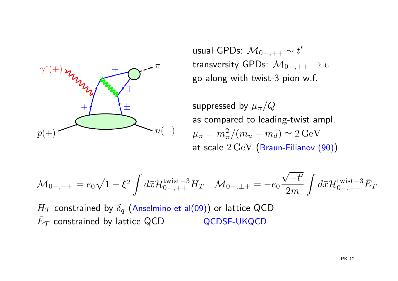

usual GPDs:  $\mathcal{M}_{0-,++} \sim t'$ transversity GPDs:  $\mathcal{M}_{0-,++}\rightarrow c$ go along with twist-3 pion w.f.

suppressed by  $\mu_{\pi}/Q$  as compared to leading-twist ampl.  $\mu_\pi = m_\pi^2/(m_u+m_d) \simeq 2\,\text{GeV}$ at scale  $2\,{\rm GeV}$   $\big($ Braun-Filianov  $(90)\big)$ 

$$
\mathcal{M}_{0-,++} = e_0 \sqrt{1 - \xi^2} \int d\bar{x} \mathcal{H}_{0-,++}^{\text{twist}-3} H_T \quad \mathcal{M}_{0+,++} = -e_0 \frac{\sqrt{-t'}}{2m} \int d\bar{x} \mathcal{H}_{0-,++}^{\text{twist}-3} \bar{E}_T
$$

 $H_T$  constrained by  $\delta_q$  (Anselmino et al(09)) or lattice QCD D QCDSF-UKQCD  $\bar{E}_T$  constrained by lattice QCD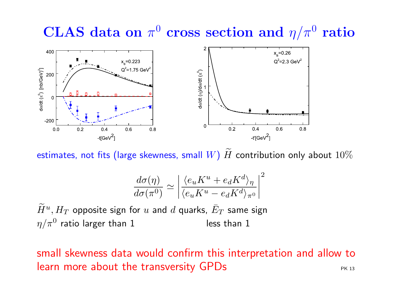# $\bf{CLASS}$  data on  $\pi^0$  cross section and  $\eta/\pi^0$  ratio



estimates, not fits (large skewness, small  $W)$   $\widetilde{H}$  contribution only about  $10\%$ 

$$
\frac{d\sigma(\eta)}{d\sigma(\pi^0)} \simeq \left| \frac{\langle e_u K^u + e_d K^d \rangle_{\eta}}{\langle e_u K^u - e_d K^d \rangle_{\pi^0}} \right|^2
$$

 $\widetilde{H}^u,H_T$  opposite sign for  $u$  and  $d$  quarks,  $\bar{E}_T$  same sign  $\eta/\pi^0$  ratio larger than  $1$  less than  $1$ 

small skewness data would confirm this interpretation and allow to learn more about the transversity  $GPDs$   $P<sub>R 13</sub>$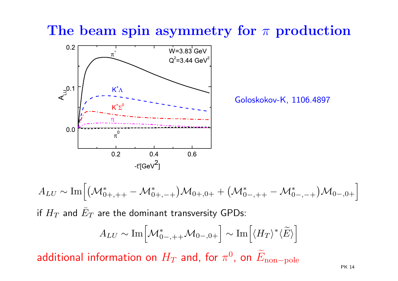#### The beam spin asymmetry for  $\pi$  production



Goloskokov-K, 1106.4897

 $A_{LU}\sim {\rm Im}\Big[ \big({\cal M}^*_0$  $0+,++$  $_{+}-\mathcal{M}_{0}^{\ast}$  $(\mathcal{M}^*_{0+,-+}) \mathcal{M}_{0+,0+} + \bigl( \mathcal{M}^*_0 \bigr)$  0−,++ $_{+}-\mathcal{M}_{0}^{\ast}$  $\big( \big)_{0-, -+}^* \big) {\cal M}_{0-,0+}$  $\overline{\phantom{a}}$ if  $H_T$  and  $\bar{E}_T$  are the dominant transversity GPDs:  $A_{LU}\sim {\rm Im}\Big[$  $\mathcal{M}^*_{\cap}$  $\left[0^*_{0-},\right._{+\!+\!}\mathcal{M}_{0-},0+\Big]\sim\mathrm{Im}\Big[$  $\overline{\phantom{a}}$  $\langle H_T \rangle^*$  $^{\ast}\langle\widetilde{E}\rangle$ l<br>I<br>I<br>I<br>I<br>I<br>i<br>i<br>i<br>i<br>i<br>i<br>i<br>i<br>

additional information on  $H_T$  and, for  $\pi$ 0, on $\widetilde{E}_{\text{non-pole}}$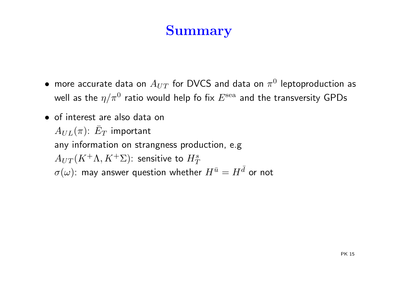#### Summary

- $\bullet\,$  more accurate data on  $A_{UT}$  for DVCS and data on  $\pi^0$  leptoproduction as well as the  $\eta/\pi^0$  ratio would help fo fix  $E^{\rm sea}$  and the transversity GPDs
- of interest are also data on $A_{UL}(\pi)$ :  $\bar{E}_T$  important any information on strangness production, e.g  $A_{UT}(K^+\Lambda,K^+\Sigma)$ : sensitive to  $H^s_T$  $\sigma(\omega)$ : may answer question whether  $H^{\bar u}=H^{\bar d}$  or not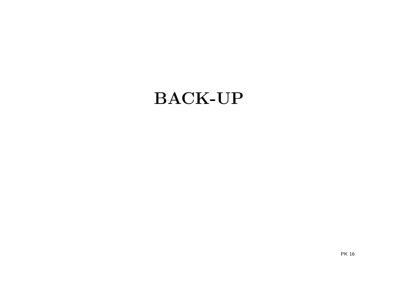## BACK-UP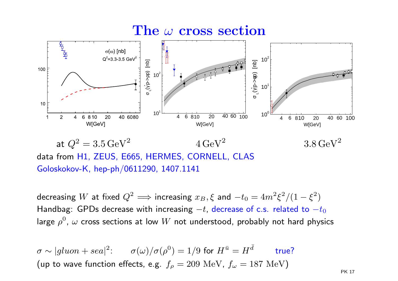# $\mathbf{The}\mathop{\omega}\limits_{\mathbb{F}}\mathbf{cross}\mathop{\bf section}\limits_{\mathbb{F}}$



at  $Q^2 = 3.5 \,\text{GeV}^2$   $4 \,\text{GeV}^2$   $3.8 \,\text{GeV}^2$ data from H1, ZEUS, E665, HERMES, CORNELL, CLAS Goloskokov-K, hep-ph/0611290, 1407.1141

decreasing  $W$  at fixed  $Q^2 \Longrightarrow$  increasing  $x_B, \xi$  and  $-t_0 = 4m^2\xi^2/(1-\xi^2)$ Handbag: <code>GPDs</code> decrease with increasing  $-t$ , decrease of c.s. related to  $-t_0$ large  $\rho^0$ ,  $\omega$  cross sections at low  $W$  not understood, probably not hard physics

σ $\sigma \sim |gluon + sea|^2$ :  $\sigma(\omega)/\sigma(\rho^0) = 1/9$  for  $H^{\bar{u}} = H^{\bar{d}}$  true? (up to wave function effects, e.g.  $f_\rho=209\,\,{\rm MeV}$ ,  $f_\omega=187\,\,{\rm MeV})$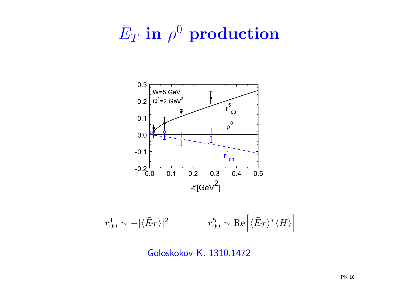# $\bar{E}_T$  in  $\rho^0$  production



 $r_{00}^{1}\sim-|\langle\bar{E}_{T}\rangle|^{2} \qquad\qquad r_{00}^{5}\sim\operatorname{Re}\Bigl[\langle\bar{E}_{T}\rangle^{*}\langle H\rangle\Bigr]$ 

Goloskokov-K. 1310.1472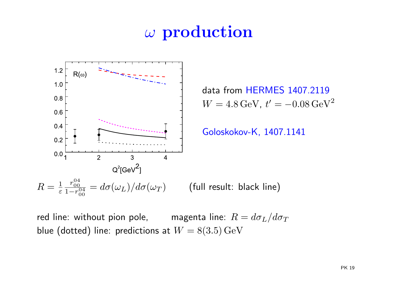#### ω $\omega$  production



red line: without pion pole,  $\qquad \qquad \quad \text{magenta line:} \ \ R = d\sigma_L/d\sigma_T$ blue (dotted) line: predictions at  $W = 8(3.5) \,\mathrm{GeV}$